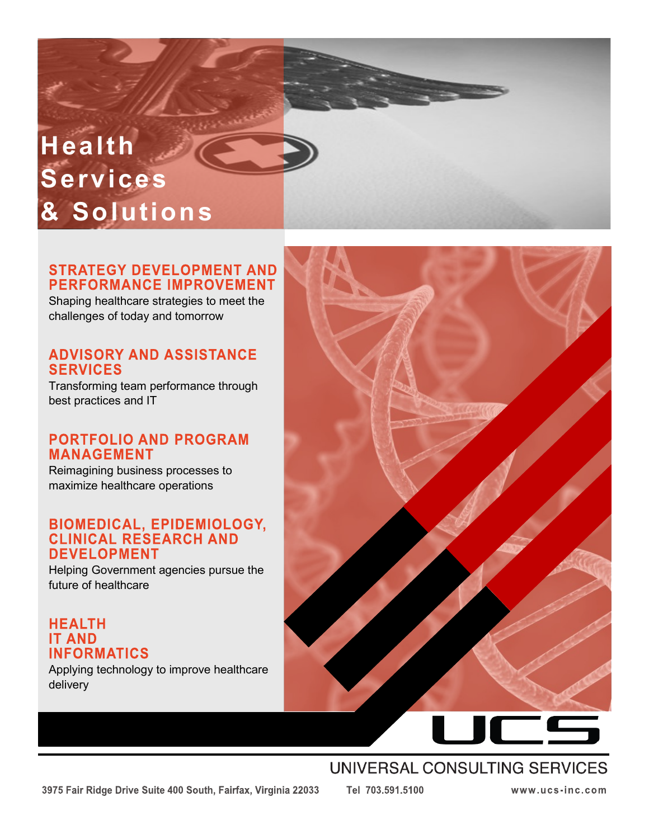# **Health Services & Solutions**

### **STRATEGY DEVELOPMENT AND PERFORMANCE IMPROVEMENT**

Shaping healthcare strategies to meet the challenges of today and tomorrow

### **ADVISORY AND ASSISTANCE SERVICES**

Transforming team performance through best practices and IT

### **PORTFOLIO AND PROGRAM MANAGEMENT**

Reimagining business processes to maximize healthcare operations

# **BIOMEDICAL, EPIDEMIOLOGY,<br>CLINICAL RESEARCH AND DEVELOPMENT**

Helping Government agencies pursue the future of healthcare

### **HEALTH IT AND INFORMATICS**

Applying technology to improve healthcare delivery



### UNIVERSAL CONSULTING SERVICES

Tel 703.591.5100